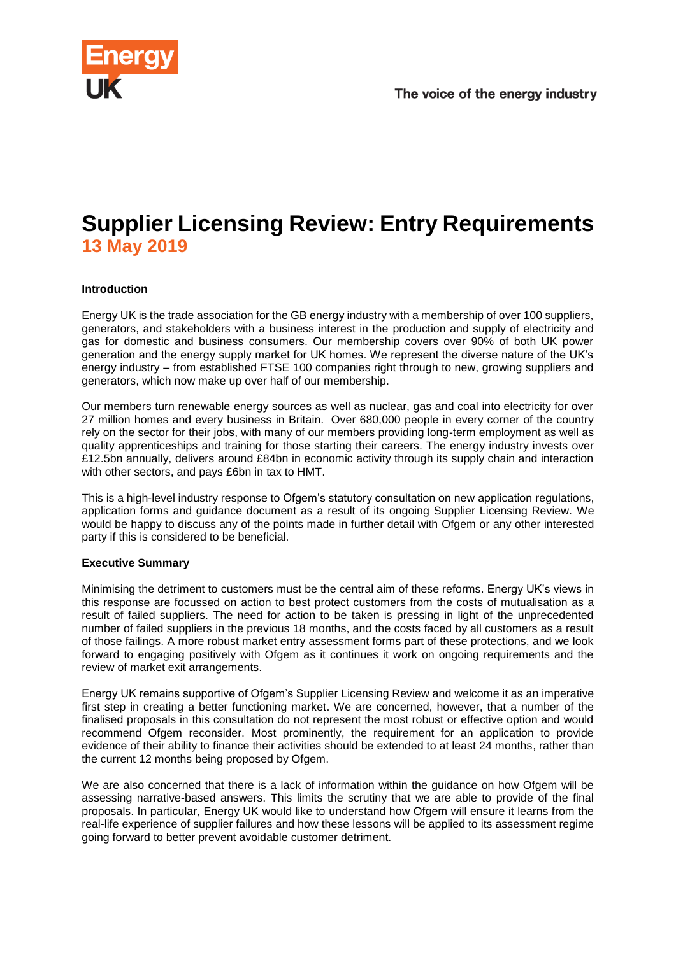



# **Supplier Licensing Review: Entry Requirements 13 May 2019**

#### **Introduction**

Energy UK is the trade association for the GB energy industry with a membership of over 100 suppliers, generators, and stakeholders with a business interest in the production and supply of electricity and gas for domestic and business consumers. Our membership covers over 90% of both UK power generation and the energy supply market for UK homes. We represent the diverse nature of the UK's energy industry – from established FTSE 100 companies right through to new, growing suppliers and generators, which now make up over half of our membership.

Our members turn renewable energy sources as well as nuclear, gas and coal into electricity for over 27 million homes and every business in Britain. Over 680,000 people in every corner of the country rely on the sector for their jobs, with many of our members providing long-term employment as well as quality apprenticeships and training for those starting their careers. The energy industry invests over £12.5bn annually, delivers around £84bn in economic activity through its supply chain and interaction with other sectors, and pays £6bn in tax to HMT.

This is a high-level industry response to Ofgem's statutory consultation on new application regulations, application forms and guidance document as a result of its ongoing Supplier Licensing Review. We would be happy to discuss any of the points made in further detail with Ofgem or any other interested party if this is considered to be beneficial.

#### **Executive Summary**

Minimising the detriment to customers must be the central aim of these reforms. Energy UK's views in this response are focussed on action to best protect customers from the costs of mutualisation as a result of failed suppliers. The need for action to be taken is pressing in light of the unprecedented number of failed suppliers in the previous 18 months, and the costs faced by all customers as a result of those failings. A more robust market entry assessment forms part of these protections, and we look forward to engaging positively with Ofgem as it continues it work on ongoing requirements and the review of market exit arrangements.

Energy UK remains supportive of Ofgem's Supplier Licensing Review and welcome it as an imperative first step in creating a better functioning market. We are concerned, however, that a number of the finalised proposals in this consultation do not represent the most robust or effective option and would recommend Ofgem reconsider. Most prominently, the requirement for an application to provide evidence of their ability to finance their activities should be extended to at least 24 months, rather than the current 12 months being proposed by Ofgem.

We are also concerned that there is a lack of information within the guidance on how Ofgem will be assessing narrative-based answers. This limits the scrutiny that we are able to provide of the final proposals. In particular, Energy UK would like to understand how Ofgem will ensure it learns from the real-life experience of supplier failures and how these lessons will be applied to its assessment regime going forward to better prevent avoidable customer detriment.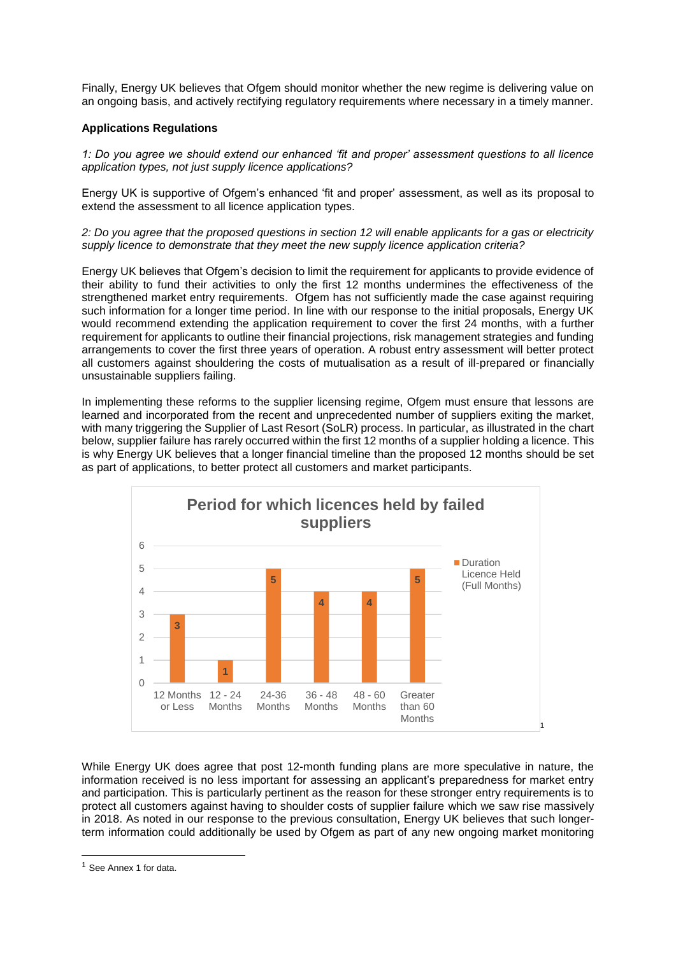Finally, Energy UK believes that Ofgem should monitor whether the new regime is delivering value on an ongoing basis, and actively rectifying regulatory requirements where necessary in a timely manner.

#### **Applications Regulations**

*1: Do you agree we should extend our enhanced 'fit and proper' assessment questions to all licence application types, not just supply licence applications?* 

Energy UK is supportive of Ofgem's enhanced 'fit and proper' assessment, as well as its proposal to extend the assessment to all licence application types.

*2: Do you agree that the proposed questions in section 12 will enable applicants for a gas or electricity supply licence to demonstrate that they meet the new supply licence application criteria?*

Energy UK believes that Ofgem's decision to limit the requirement for applicants to provide evidence of their ability to fund their activities to only the first 12 months undermines the effectiveness of the strengthened market entry requirements. Ofgem has not sufficiently made the case against requiring such information for a longer time period. In line with our response to the initial proposals, Energy UK would recommend extending the application requirement to cover the first 24 months, with a further requirement for applicants to outline their financial projections, risk management strategies and funding arrangements to cover the first three years of operation. A robust entry assessment will better protect all customers against shouldering the costs of mutualisation as a result of ill-prepared or financially unsustainable suppliers failing.

In implementing these reforms to the supplier licensing regime, Ofgem must ensure that lessons are learned and incorporated from the recent and unprecedented number of suppliers exiting the market, with many triggering the Supplier of Last Resort (SoLR) process. In particular, as illustrated in the chart below, supplier failure has rarely occurred within the first 12 months of a supplier holding a licence. This is why Energy UK believes that a longer financial timeline than the proposed 12 months should be set as part of applications, to better protect all customers and market participants.



While Energy UK does agree that post 12-month funding plans are more speculative in nature, the information received is no less important for assessing an applicant's preparedness for market entry and participation. This is particularly pertinent as the reason for these stronger entry requirements is to protect all customers against having to shoulder costs of supplier failure which we saw rise massively in 2018. As noted in our response to the previous consultation, Energy UK believes that such longerterm information could additionally be used by Ofgem as part of any new ongoing market monitoring

-

<sup>1</sup> See Annex 1 for data.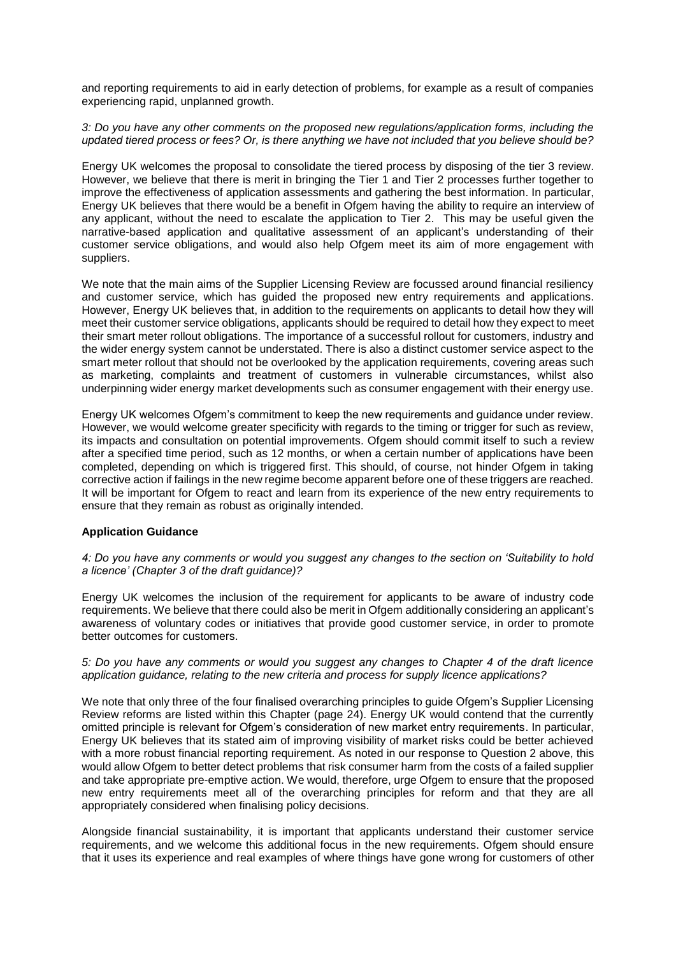and reporting requirements to aid in early detection of problems, for example as a result of companies experiencing rapid, unplanned growth.

#### *3: Do you have any other comments on the proposed new regulations/application forms, including the updated tiered process or fees? Or, is there anything we have not included that you believe should be?*

Energy UK welcomes the proposal to consolidate the tiered process by disposing of the tier 3 review. However, we believe that there is merit in bringing the Tier 1 and Tier 2 processes further together to improve the effectiveness of application assessments and gathering the best information. In particular, Energy UK believes that there would be a benefit in Ofgem having the ability to require an interview of any applicant, without the need to escalate the application to Tier 2. This may be useful given the narrative-based application and qualitative assessment of an applicant's understanding of their customer service obligations, and would also help Ofgem meet its aim of more engagement with suppliers.

We note that the main aims of the Supplier Licensing Review are focussed around financial resiliency and customer service, which has guided the proposed new entry requirements and applications. However, Energy UK believes that, in addition to the requirements on applicants to detail how they will meet their customer service obligations, applicants should be required to detail how they expect to meet their smart meter rollout obligations. The importance of a successful rollout for customers, industry and the wider energy system cannot be understated. There is also a distinct customer service aspect to the smart meter rollout that should not be overlooked by the application requirements, covering areas such as marketing, complaints and treatment of customers in vulnerable circumstances, whilst also underpinning wider energy market developments such as consumer engagement with their energy use.

Energy UK welcomes Ofgem's commitment to keep the new requirements and guidance under review. However, we would welcome greater specificity with regards to the timing or trigger for such as review. its impacts and consultation on potential improvements. Ofgem should commit itself to such a review after a specified time period, such as 12 months, or when a certain number of applications have been completed, depending on which is triggered first. This should, of course, not hinder Ofgem in taking corrective action if failings in the new regime become apparent before one of these triggers are reached. It will be important for Ofgem to react and learn from its experience of the new entry requirements to ensure that they remain as robust as originally intended.

#### **Application Guidance**

#### *4: Do you have any comments or would you suggest any changes to the section on 'Suitability to hold a licence' (Chapter 3 of the draft guidance)?*

Energy UK welcomes the inclusion of the requirement for applicants to be aware of industry code requirements. We believe that there could also be merit in Ofgem additionally considering an applicant's awareness of voluntary codes or initiatives that provide good customer service, in order to promote better outcomes for customers.

#### *5: Do you have any comments or would you suggest any changes to Chapter 4 of the draft licence application guidance, relating to the new criteria and process for supply licence applications?*

We note that only three of the four finalised overarching principles to guide Ofgem's Supplier Licensing Review reforms are listed within this Chapter (page 24). Energy UK would contend that the currently omitted principle is relevant for Ofgem's consideration of new market entry requirements. In particular, Energy UK believes that its stated aim of improving visibility of market risks could be better achieved with a more robust financial reporting requirement. As noted in our response to Question 2 above, this would allow Ofgem to better detect problems that risk consumer harm from the costs of a failed supplier and take appropriate pre-emptive action. We would, therefore, urge Ofgem to ensure that the proposed new entry requirements meet all of the overarching principles for reform and that they are all appropriately considered when finalising policy decisions.

Alongside financial sustainability, it is important that applicants understand their customer service requirements, and we welcome this additional focus in the new requirements. Ofgem should ensure that it uses its experience and real examples of where things have gone wrong for customers of other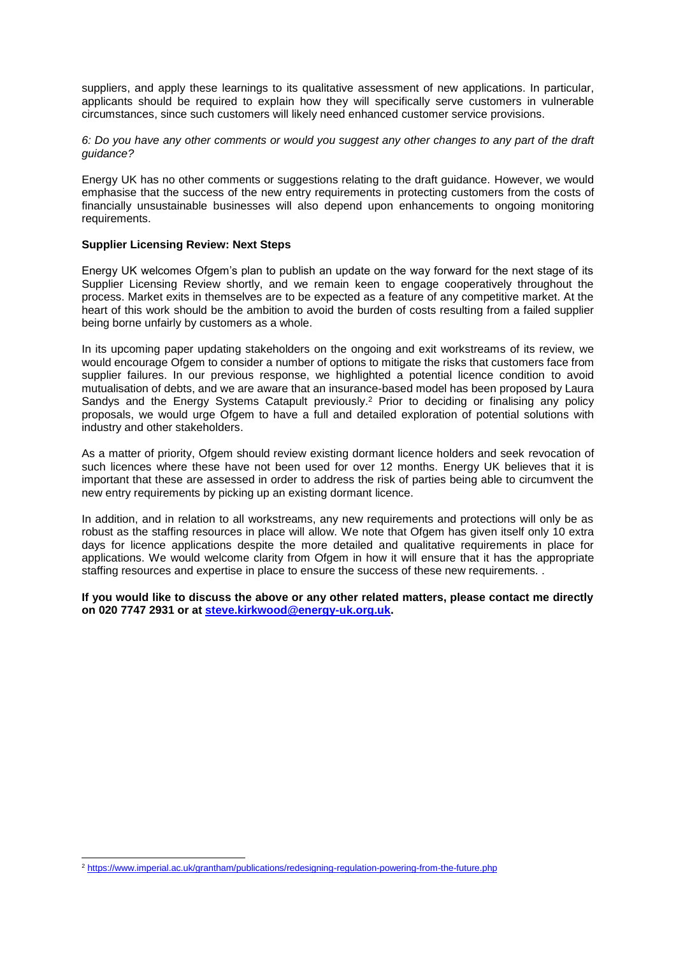suppliers, and apply these learnings to its qualitative assessment of new applications. In particular, applicants should be required to explain how they will specifically serve customers in vulnerable circumstances, since such customers will likely need enhanced customer service provisions.

*6: Do you have any other comments or would you suggest any other changes to any part of the draft guidance?*

Energy UK has no other comments or suggestions relating to the draft guidance. However, we would emphasise that the success of the new entry requirements in protecting customers from the costs of financially unsustainable businesses will also depend upon enhancements to ongoing monitoring requirements.

#### **Supplier Licensing Review: Next Steps**

Energy UK welcomes Ofgem's plan to publish an update on the way forward for the next stage of its Supplier Licensing Review shortly, and we remain keen to engage cooperatively throughout the process. Market exits in themselves are to be expected as a feature of any competitive market. At the heart of this work should be the ambition to avoid the burden of costs resulting from a failed supplier being borne unfairly by customers as a whole.

In its upcoming paper updating stakeholders on the ongoing and exit workstreams of its review, we would encourage Ofgem to consider a number of options to mitigate the risks that customers face from supplier failures. In our previous response, we highlighted a potential licence condition to avoid mutualisation of debts, and we are aware that an insurance-based model has been proposed by Laura Sandys and the Energy Systems Catapult previously.<sup>2</sup> Prior to deciding or finalising any policy proposals, we would urge Ofgem to have a full and detailed exploration of potential solutions with industry and other stakeholders.

As a matter of priority, Ofgem should review existing dormant licence holders and seek revocation of such licences where these have not been used for over 12 months. Energy UK believes that it is important that these are assessed in order to address the risk of parties being able to circumvent the new entry requirements by picking up an existing dormant licence.

In addition, and in relation to all workstreams, any new requirements and protections will only be as robust as the staffing resources in place will allow. We note that Ofgem has given itself only 10 extra days for licence applications despite the more detailed and qualitative requirements in place for applications. We would welcome clarity from Ofgem in how it will ensure that it has the appropriate staffing resources and expertise in place to ensure the success of these new requirements. .

**If you would like to discuss the above or any other related matters, please contact me directly on 020 7747 2931 or at [steve.kirkwood@energy-uk.org.uk.](mailto:steve.kirkwood@energy-uk.org.uk)** 

-

<sup>&</sup>lt;sup>2</sup> <https://www.imperial.ac.uk/grantham/publications/redesigning-regulation-powering-from-the-future.php>